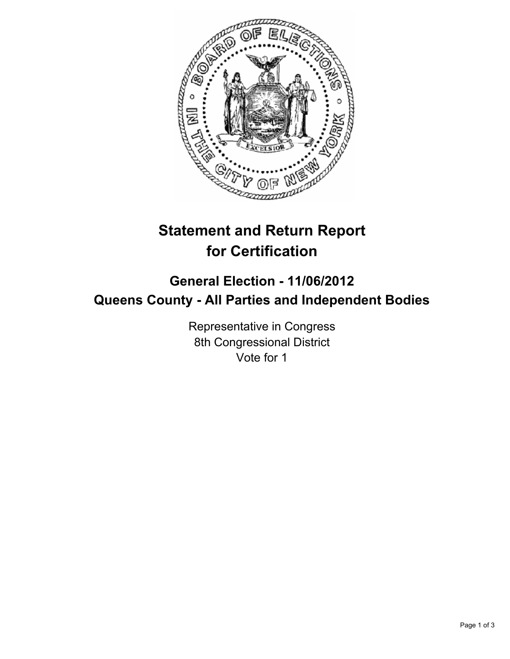

# **Statement and Return Report for Certification**

## **General Election - 11/06/2012 Queens County - All Parties and Independent Bodies**

Representative in Congress 8th Congressional District Vote for 1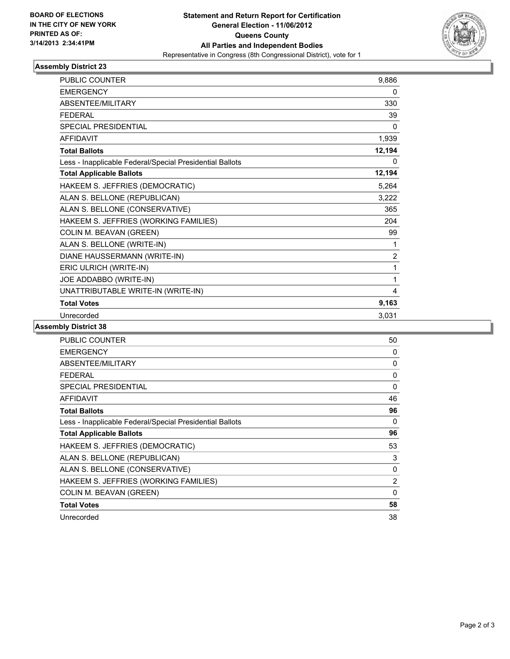

### **Assembly District 23**

| <b>PUBLIC COUNTER</b>                                    | 9,886          |
|----------------------------------------------------------|----------------|
| <b>EMERGENCY</b>                                         | 0              |
| ABSENTEE/MILITARY                                        | 330            |
| <b>FEDERAL</b>                                           | 39             |
| <b>SPECIAL PRESIDENTIAL</b>                              | 0              |
| <b>AFFIDAVIT</b>                                         | 1,939          |
| <b>Total Ballots</b>                                     | 12,194         |
| Less - Inapplicable Federal/Special Presidential Ballots | $\mathbf{0}$   |
| <b>Total Applicable Ballots</b>                          | 12,194         |
| HAKEEM S. JEFFRIES (DEMOCRATIC)                          | 5,264          |
| ALAN S. BELLONE (REPUBLICAN)                             | 3,222          |
| ALAN S. BELLONE (CONSERVATIVE)                           | 365            |
| HAKEEM S. JEFFRIES (WORKING FAMILIES)                    | 204            |
| COLIN M. BEAVAN (GREEN)                                  | 99             |
| ALAN S. BELLONE (WRITE-IN)                               | 1              |
| DIANE HAUSSERMANN (WRITE-IN)                             | $\overline{2}$ |
| ERIC ULRICH (WRITE-IN)                                   | 1              |
| JOE ADDABBO (WRITE-IN)                                   | 1              |
| UNATTRIBUTABLE WRITE-IN (WRITE-IN)                       | 4              |
| <b>Total Votes</b>                                       | 9,163          |
| Unrecorded                                               | 3,031          |

### **Assembly District 38**

| <b>PUBLIC COUNTER</b>                                    | 50 |
|----------------------------------------------------------|----|
| <b>EMERGENCY</b>                                         | 0  |
| <b>ABSENTEE/MILITARY</b>                                 | 0  |
| <b>FEDERAL</b>                                           | 0  |
| SPECIAL PRESIDENTIAL                                     | 0  |
| <b>AFFIDAVIT</b>                                         | 46 |
| <b>Total Ballots</b>                                     | 96 |
| Less - Inapplicable Federal/Special Presidential Ballots | 0  |
| <b>Total Applicable Ballots</b>                          | 96 |
| HAKEEM S. JEFFRIES (DEMOCRATIC)                          | 53 |
| ALAN S. BELLONE (REPUBLICAN)                             | 3  |
| ALAN S. BELLONE (CONSERVATIVE)                           | 0  |
| HAKEEM S. JEFFRIES (WORKING FAMILIES)                    | 2  |
| COLIN M. BEAVAN (GREEN)                                  | 0  |
| <b>Total Votes</b>                                       | 58 |
| Unrecorded                                               | 38 |